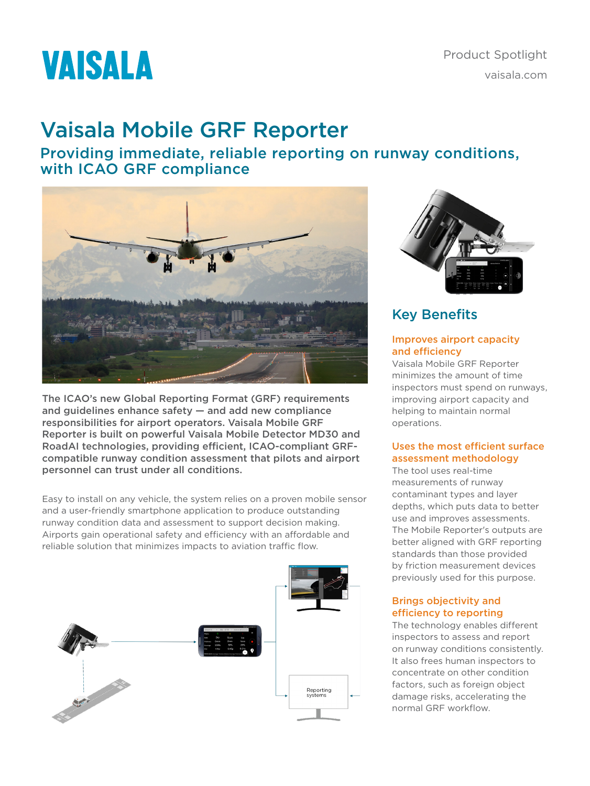# **VAISALA**

## Vaisala Mobile GRF Reporter

Providing immediate, reliable reporting on runway conditions, with ICAO GRF compliance



The ICAO's new Global Reporting Format (GRF) requirements and guidelines enhance safety — and add new compliance responsibilities for airport operators. Vaisala Mobile GRF Reporter is built on powerful Vaisala Mobile Detector MD30 and RoadAI technologies, providing efficient, ICAO-compliant GRFcompatible runway condition assessment that pilots and airport personnel can trust under all conditions.

Easy to install on any vehicle, the system relies on a proven mobile sensor and a user-friendly smartphone application to produce outstanding runway condition data and assessment to support decision making. Airports gain operational safety and efficiency with an affordable and reliable solution that minimizes impacts to aviation traffic flow.





## Key Benefits

#### Improves airport capacity and efficiency

Vaisala Mobile GRF Reporter minimizes the amount of time inspectors must spend on runways, improving airport capacity and helping to maintain normal operations.

#### Uses the most efficient surface assessment methodology

The tool uses real-time measurements of runway contaminant types and layer depths, which puts data to better use and improves assessments. The Mobile Reporter's outputs are better aligned with GRF reporting standards than those provided by friction measurement devices previously used for this purpose.

#### Brings objectivity and efficiency to reporting

The technology enables different inspectors to assess and report on runway conditions consistently. It also frees human inspectors to concentrate on other condition factors, such as foreign object damage risks, accelerating the normal GRF workflow.